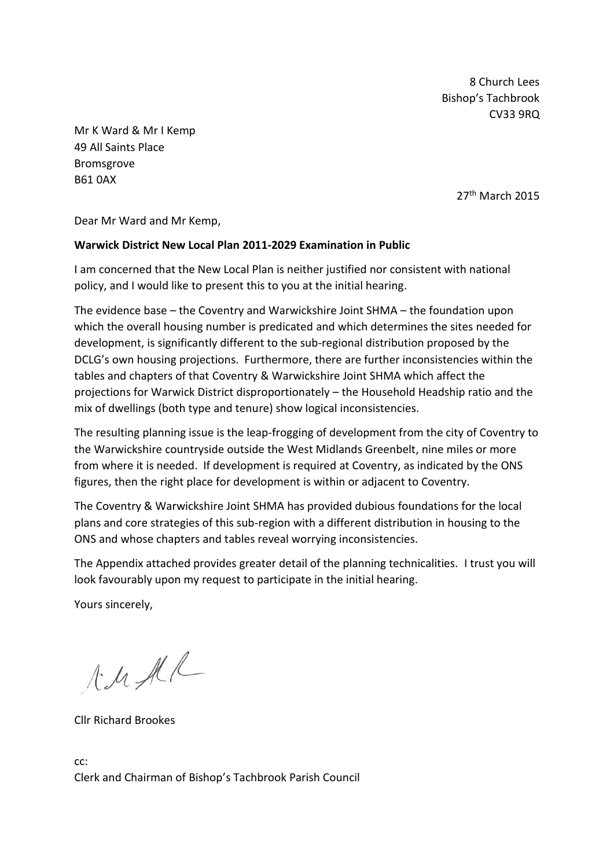8 Church Lees Bishop's Tachbrook CV33 9RQ

Mr K Ward & Mr I Kemp 49 All Saints Place Bromsgrove B61 0AX

27<sup>th</sup> March 2015

Dear Mr Ward and Mr Kemp,

#### **Warwick District New Local Plan 2011-2029 Examination in Public**

I am concerned that the New Local Plan is neither justified nor consistent with national policy, and I would like to present this to you at the initial hearing.

The evidence base – the Coventry and Warwickshire Joint SHMA – the foundation upon which the overall housing number is predicated and which determines the sites needed for development, is significantly different to the sub-regional distribution proposed by the DCLG's own housing projections. Furthermore, there are further inconsistencies within the tables and chapters of that Coventry & Warwickshire Joint SHMA which affect the projections for Warwick District disproportionately – the Household Headship ratio and the mix of dwellings (both type and tenure) show logical inconsistencies.

The resulting planning issue is the leap-frogging of development from the city of Coventry to the Warwickshire countryside outside the West Midlands Greenbelt, nine miles or more from where it is needed. If development is required at Coventry, as indicated by the ONS figures, then the right place for development is within or adjacent to Coventry.

The Coventry & Warwickshire Joint SHMA has provided dubious foundations for the local plans and core strategies of this sub-region with a different distribution in housing to the ONS and whose chapters and tables reveal worrying inconsistencies.

The Appendix attached provides greater detail of the planning technicalities. I trust you will look favourably upon my request to participate in the initial hearing.

Yours sincerely,

 $A.A.A.A$ 

Cllr Richard Brookes

cc: Clerk and Chairman of Bishop's Tachbrook Parish Council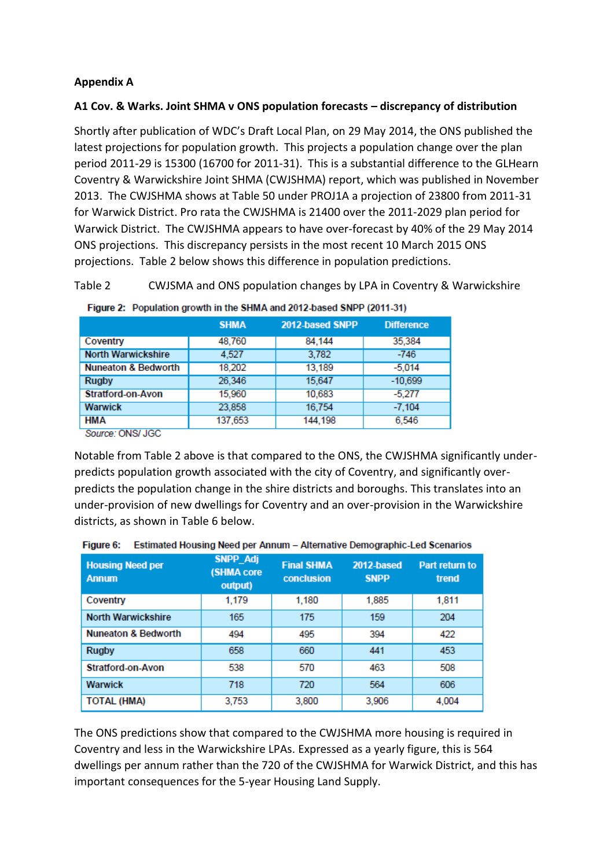# **Appendix A**

### **A1 Cov. & Warks. Joint SHMA v ONS population forecasts – discrepancy of distribution**

Shortly after publication of WDC's Draft Local Plan, on 29 May 2014, the ONS published the latest projections for population growth. This projects a population change over the plan period 2011-29 is 15300 (16700 for 2011-31). This is a substantial difference to the GLHearn Coventry & Warwickshire Joint SHMA (CWJSHMA) report, which was published in November 2013. The CWJSHMA shows at Table 50 under PROJ1A a projection of 23800 from 2011-31 for Warwick District. Pro rata the CWJSHMA is 21400 over the 2011-2029 plan period for Warwick District. The CWJSHMA appears to have over-forecast by 40% of the 29 May 2014 ONS projections. This discrepancy persists in the most recent 10 March 2015 ONS projections. Table 2 below shows this difference in population predictions.

Table 2 CWJSMA and ONS population changes by LPA in Coventry & Warwickshire

|                                                  | <b>SHMA</b> | 2012-based SNPP | <b>Difference</b> |
|--------------------------------------------------|-------------|-----------------|-------------------|
| Coventry                                         | 48,760      | 84,144          | 35,384            |
| <b>North Warwickshire</b>                        | 4.527       | 3,782           | $-746$            |
| <b>Nuneaton &amp; Bedworth</b>                   | 18.202      | 13,189          | $-5.014$          |
| <b>Rugby</b>                                     | 26,346      | 15,647          | $-10,699$         |
| <b>Stratford-on-Avon</b>                         | 15,960      | 10,683          | $-5,277$          |
| <b>Warwick</b>                                   | 23,858      | 16,754          | $-7,104$          |
| <b>HMA</b><br><b>CONTRACTOR</b><br>$\sim$ $\sim$ | 137,653     | 144,198         | 6,546             |

|  |  | Figure 2: Population growth in the SHMA and 2012-based SNPP (2011-31) |
|--|--|-----------------------------------------------------------------------|

Source: ONS/ JGC

Notable from Table 2 above is that compared to the ONS, the CWJSHMA significantly underpredicts population growth associated with the city of Coventry, and significantly overpredicts the population change in the shire districts and boroughs. This translates into an under-provision of new dwellings for Coventry and an over-provision in the Warwickshire districts, as shown in Table 6 below.

| <b>Housing Need per</b><br><b>Annum</b> | <b>SNPP_Adj</b><br>(SHMA core<br>output) | <b>Final SHMA</b><br>conclusion | 2012-based<br><b>SNPP</b> | Part return to<br>trend |
|-----------------------------------------|------------------------------------------|---------------------------------|---------------------------|-------------------------|
| Coventry                                | 1,179                                    | 1.180                           | 1.885                     | 1.811                   |
| <b>North Warwickshire</b>               | 165                                      | 175                             | 159                       | 204                     |
| <b>Nuneaton &amp; Bedworth</b>          | 494                                      | 495                             | 394                       | 422                     |
| <b>Rugby</b>                            | 658                                      | 660                             | 441                       | 453                     |
| <b>Stratford-on-Avon</b>                | 538                                      | 570                             | 463                       | 508                     |
| <b>Warwick</b>                          | 718                                      | 720                             | 564                       | 606                     |
| <b>TOTAL (HMA)</b>                      | 3,753                                    | 3,800                           | 3,906                     | 4,004                   |

|  | Figure 6: | <b>Estimated Housing Need per Annum - Alternative Demographic-Led Scenarios</b> |  |  |  |
|--|-----------|---------------------------------------------------------------------------------|--|--|--|
|--|-----------|---------------------------------------------------------------------------------|--|--|--|

The ONS predictions show that compared to the CWJSHMA more housing is required in Coventry and less in the Warwickshire LPAs. Expressed as a yearly figure, this is 564 dwellings per annum rather than the 720 of the CWJSHMA for Warwick District, and this has important consequences for the 5-year Housing Land Supply.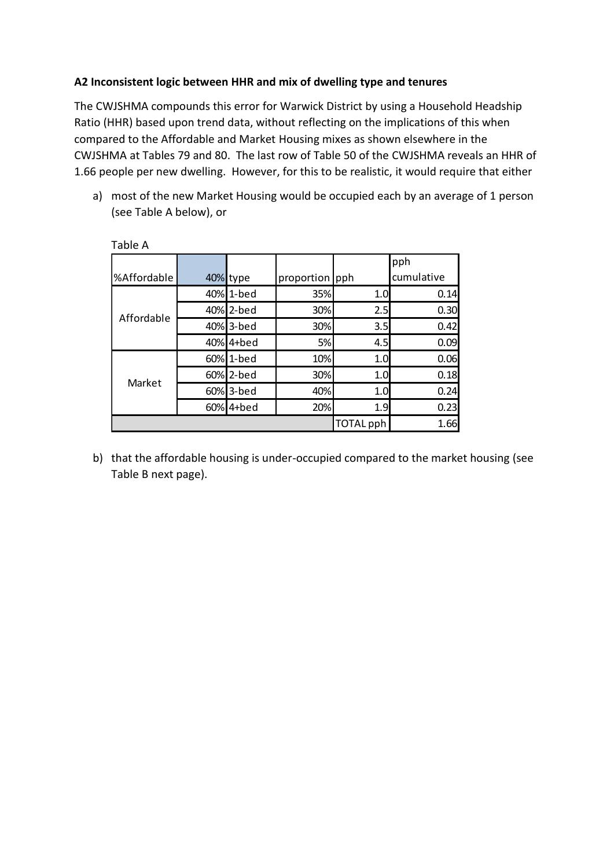### **A2 Inconsistent logic between HHR and mix of dwelling type and tenures**

The CWJSHMA compounds this error for Warwick District by using a Household Headship Ratio (HHR) based upon trend data, without reflecting on the implications of this when compared to the Affordable and Market Housing mixes as shown elsewhere in the CWJSHMA at Tables 79 and 80. The last row of Table 50 of the CWJSHMA reveals an HHR of 1.66 people per new dwelling. However, for this to be realistic, it would require that either

a) most of the new Market Housing would be occupied each by an average of 1 person (see Table A below), or

| .           |     |           |                |           |            |  |
|-------------|-----|-----------|----------------|-----------|------------|--|
|             |     |           |                |           | pph        |  |
| %Affordable |     | 40% type  | proportion pph |           | cumulative |  |
|             |     | 40% 1-bed | 35%            | 1.0       | 0.14       |  |
|             |     | 40% 2-bed | 30%            | 2.5       | 0.30       |  |
| Affordable  |     | 40% 3-bed | 30%            | 3.5       | 0.42       |  |
|             | 40% | $4 +$ bed | 5%             | 4.5       | 0.09       |  |
|             |     | 60% 1-bed | 10%            | 1.0       | 0.06       |  |
| Market      |     | 60% 2-bed | 30%            | 1.0       | 0.18       |  |
|             |     | 60% 3-bed | 40%            | 1.0       | 0.24       |  |
|             | 60% | 4+bed     | 20%            | 1.9       | 0.23       |  |
|             |     |           |                | TOTAL pph | 1.66       |  |

Table A

b) that the affordable housing is under-occupied compared to the market housing (see Table B next page).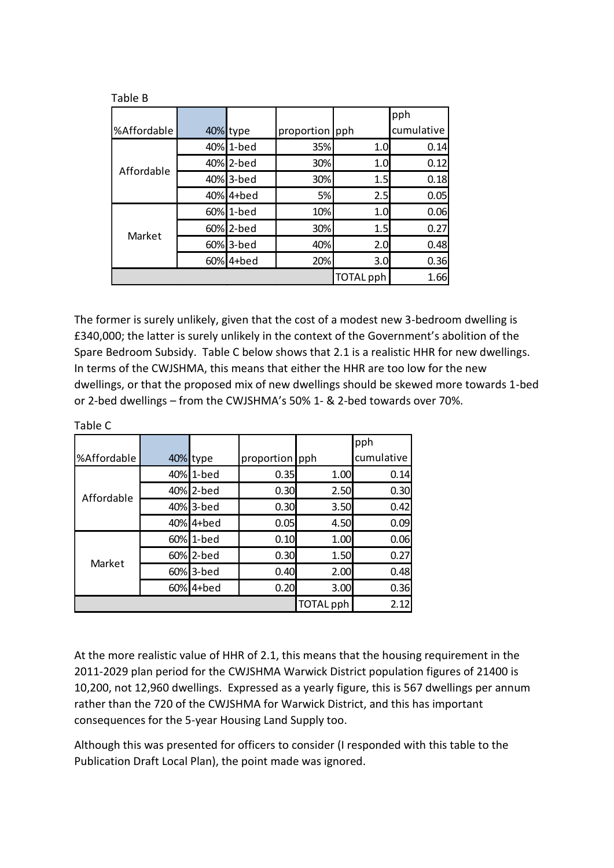| ט טושו      |  |           |                |                  |            |  |
|-------------|--|-----------|----------------|------------------|------------|--|
|             |  |           |                |                  | pph        |  |
| %Affordable |  | 40% type  | proportion pph |                  | cumulative |  |
|             |  | 40% 1-bed | 35%            | 1.0              | 0.14       |  |
|             |  | 40% 2-bed | 30%            | 1.0              | 0.12       |  |
| Affordable  |  | 40% 3-bed | 30%            | 1.5              | 0.18       |  |
|             |  | 40% 4+bed | 5%             | 2.5              | 0.05       |  |
|             |  | 60% 1-bed | 10%            | 1.0              | 0.06       |  |
| Market      |  | 60% 2-bed | 30%            | 1.5              | 0.27       |  |
|             |  | 60% 3-bed | 40%            | 2.0              | 0.48       |  |
|             |  | 60% 4+bed | 20%            | 3.0              | 0.36       |  |
|             |  |           |                | <b>TOTAL</b> pph | 1.66       |  |

The former is surely unlikely, given that the cost of a modest new 3-bedroom dwelling is £340,000; the latter is surely unlikely in the context of the Government's abolition of the Spare Bedroom Subsidy. Table C below shows that 2.1 is a realistic HHR for new dwellings. In terms of the CWJSHMA, this means that either the HHR are too low for the new dwellings, or that the proposed mix of new dwellings should be skewed more towards 1-bed or 2-bed dwellings – from the CWJSHMA's 50% 1- & 2-bed towards over 70%.

|               |            |                |           | pph        |
|---------------|------------|----------------|-----------|------------|
| %Affordable   | 40% type   | proportion pph |           | cumulative |
|               | 40% 1-bed  | 0.35           | 1.00      | 0.14       |
|               | 40% 2-bed  | 0.30           | 2.50      | 0.30       |
| Affordable    | 40% 3-bed  | 0.30           | 3.50      | 0.42       |
|               | 40% 4+ bed | 0.05           | 4.50      | 0.09       |
|               | 60% 1-bed  | 0.10           | 1.00      | 0.06       |
| <b>Market</b> | 60% 2-bed  | 0.30           | 1.50      | 0.27       |
|               | 60% 3-bed  | 0.40           | 2.00      | 0.48       |
|               | 60% 4+bed  | 0.20           | 3.00      | 0.36       |
|               |            |                | TOTAL pph | 2.12       |

Table C

Table B

At the more realistic value of HHR of 2.1, this means that the housing requirement in the 2011-2029 plan period for the CWJSHMA Warwick District population figures of 21400 is 10,200, not 12,960 dwellings. Expressed as a yearly figure, this is 567 dwellings per annum rather than the 720 of the CWJSHMA for Warwick District, and this has important consequences for the 5-year Housing Land Supply too.

Although this was presented for officers to consider (I responded with this table to the Publication Draft Local Plan), the point made was ignored.